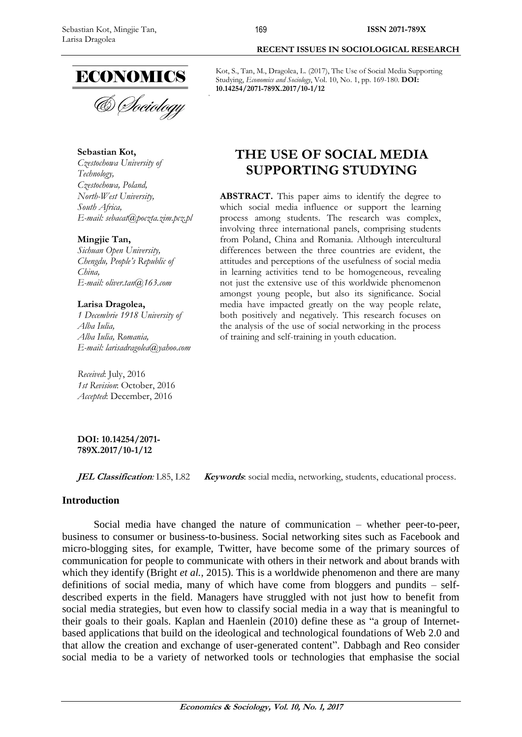

& Sociology

**Sebastian Kot,**

*Czestochowa University of Technology, Czestochowa, Poland, North-West University, South Africa, E-mail: [sebacat@poczta.zim.pcz.pl](mailto:sebacat@poczta.zim.pcz.pl)*

# **Mingjie Tan,**

*Sichuan Open University, Chengdu, People's Republic of China, E-mail: oliver.tan@163.com*

## **Larisa Dragolea,**

*1 Decembrie 1918 University of Alba Iulia, Alba Iulia, Romania, E-mail: [larisadragolea@yahoo.com](mailto:larisadragolea@yahoo.com)*

*Received*: July, 2016 *1st Revision*: October, 2016 *Accepted*: December, 2016

**DOI: 10.14254/2071- 789X.2017/10-1/12**

**JEL Classification**: L85, L82 **Keywords**: social media, networking, students, educational process.

# **Introduction**

Social media have changed the nature of communication – whether peer-to-peer, business to consumer or business-to-business. Social networking sites such as Facebook and micro-blogging sites, for example, Twitter, have become some of the primary sources of communication for people to communicate with others in their network and about brands with which they identify (Bright *et al.*, 2015). This is a worldwide phenomenon and there are many definitions of social media, many of which have come from bloggers and pundits – selfdescribed experts in the field. Managers have struggled with not just how to benefit from social media strategies, but even how to classify social media in a way that is meaningful to their goals to their goals. Kaplan and Haenlein (2010) define these as "a group of Internetbased applications that build on the ideological and technological foundations of Web 2.0 and that allow the creation and exchange of user-generated content". Dabbagh and Reo consider social media to be a variety of networked tools or technologies that emphasise the social

#### **RECENT ISSUES IN SOCIOLOGICAL RESEARCH**

Kot, S., Tan, M., Dragolea, L. (2017), The Use of Social Media Supporting Studying, *Economics and Sociology*, Vol. 10, No. 1, pp. 169-180. **DOI: 10.14254/2071-789X.2017/10-1/12**

# **THE USE OF SOCIAL MEDIA SUPPORTING STUDYING**

ABSTRACT. This paper aims to identify the degree to which social media influence or support the learning process among students. The research was complex, involving three international panels, comprising students from Poland, China and Romania. Although intercultural differences between the three countries are evident, the attitudes and perceptions of the usefulness of social media in learning activities tend to be homogeneous, revealing not just the extensive use of this worldwide phenomenon amongst young people, but also its significance. Social media have impacted greatly on the way people relate, both positively and negatively. This research focuses on the analysis of the use of social networking in the process of training and self-training in youth education.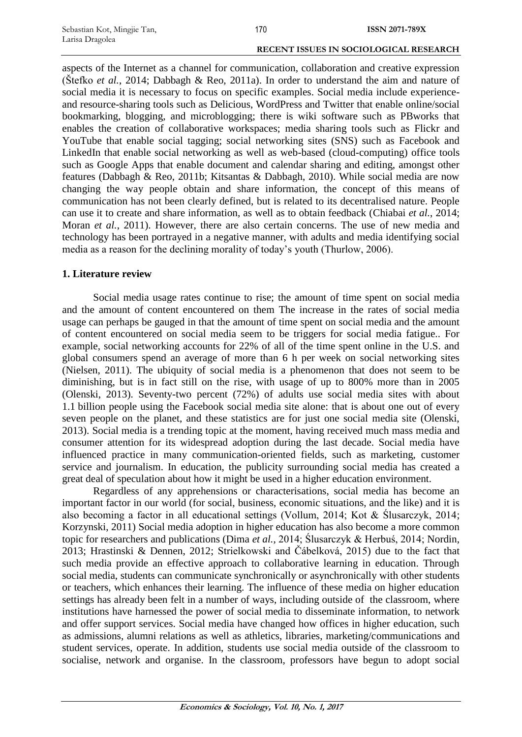aspects of the Internet as a channel for communication, collaboration and creative expression (Štefko *et al.*, 2014; Dabbagh & Reo, 2011a). In order to understand the aim and nature of social media it is necessary to focus on specific examples. Social media include experienceand resource-sharing tools such as Delicious, WordPress and Twitter that enable online/social bookmarking, blogging, and microblogging; there is wiki software such as PBworks that enables the creation of collaborative workspaces; media sharing tools such as Flickr and YouTube that enable social tagging; social networking sites (SNS) such as Facebook and LinkedIn that enable social networking as well as web-based (cloud-computing) office tools such as Google Apps that enable document and calendar sharing and editing, amongst other features (Dabbagh & Reo, 2011b; Kitsantas & Dabbagh, 2010). While social media are now changing the way people obtain and share information, the concept of this means of communication has not been clearly defined, but is related to its decentralised nature. People can use it to create and share information, as well as to obtain feedback (Chiabai *et al.*, 2014; Moran *et al.*, 2011). However, there are also certain concerns. The use of new media and technology has been portrayed in a negative manner, with adults and media identifying social media as a reason for the declining morality of today's youth (Thurlow, 2006).

# **1. Literature review**

Social media usage rates continue to rise; the amount of time spent on social media and the amount of content encountered on them The increase in the rates of social media usage can perhaps be gauged in that the amount of time spent on social media and the amount of content encountered on social media seem to be triggers for social media fatigue.. For example, social networking accounts for 22% of all of the time spent online in the U.S. and global consumers spend an average of more than 6 h per week on social networking sites (Nielsen, 2011). The ubiquity of social media is a phenomenon that does not seem to be diminishing, but is in fact still on the rise, with usage of up to 800% more than in 2005 (Olenski, 2013). Seventy-two percent (72%) of adults use social media sites with about 1.1 billion people using the Facebook social media site alone: that is about one out of every seven people on the planet, and these statistics are for just one social media site (Olenski, 2013). Social media is a trending topic at the moment, having received much mass media and consumer attention for its widespread adoption during the last decade. Social media have influenced practice in many communication-oriented fields, such as marketing, customer service and journalism. In education, the publicity surrounding social media has created a great deal of speculation about how it might be used in a higher education environment.

Regardless of any apprehensions or characterisations, social media has become an important factor in our world (for social, business, economic situations, and the like) and it is also becoming a factor in all educational settings (Vollum, 2014; Kot & Ślusarczyk, 2014; Korzynski, 2011) Social media adoption in higher education has also become a more common topic for researchers and publications (Dima *et al.*, 2014; Ślusarczyk & Herbuś, 2014; Nordin, 2013; Hrastinski & Dennen, 2012; Strielkowski and Čábelková, 2015) due to the fact that such media provide an effective approach to collaborative learning in education. Through social media, students can communicate synchronically or asynchronically with other students or teachers, which enhances their learning. The influence of these media on higher education settings has already been felt in a number of ways, including outside of the classroom, where institutions have harnessed the power of social media to disseminate information, to network and offer support services. Social media have changed how offices in higher education, such as admissions, alumni relations as well as athletics, libraries, marketing/communications and student services, operate. In addition, students use social media outside of the classroom to socialise, network and organise. In the classroom, professors have begun to adopt social

**Economics & Sociology, Vol. 10, No. 1, 2017**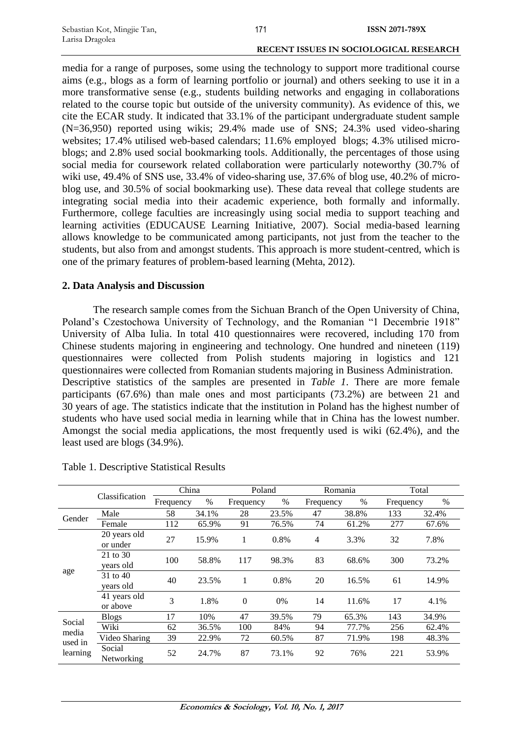media for a range of purposes, some using the technology to support more traditional course aims (e.g., blogs as a form of learning portfolio or journal) and others seeking to use it in a more transformative sense (e.g., students building networks and engaging in collaborations related to the course topic but outside of the university community). As evidence of this, we cite the ECAR study. It indicated that 33.1% of the participant undergraduate student sample (N=36,950) reported using wikis; 29.4% made use of SNS; 24.3% used video-sharing websites; 17.4% utilised web-based calendars; 11.6% employed blogs; 4.3% utilised microblogs; and 2.8% used social bookmarking tools. Additionally, the percentages of those using social media for coursework related collaboration were particularly noteworthy (30.7% of wiki use, 49.4% of SNS use, 33.4% of video-sharing use, 37.6% of blog use, 40.2% of microblog use, and 30.5% of social bookmarking use). These data reveal that college students are integrating social media into their academic experience, both formally and informally. Furthermore, college faculties are increasingly using social media to support teaching and learning activities (EDUCAUSE Learning Initiative, 2007). Social media-based learning allows knowledge to be communicated among participants, not just from the teacher to the students, but also from and amongst students. This approach is more student-centred, which is one of the primary features of problem-based learning (Mehta, 2012).

# **2. Data Analysis and Discussion**

The research sample comes from the Sichuan Branch of the Open University of China, Poland's Czestochowa University of Technology, and the Romanian "1 Decembrie 1918" University of Alba Iulia. In total 410 questionnaires were recovered, including 170 from Chinese students majoring in engineering and technology. One hundred and nineteen (119) questionnaires were collected from Polish students majoring in logistics and 121 questionnaires were collected from Romanian students majoring in Business Administration. Descriptive statistics of the samples are presented in *Table 1*. There are more female participants (67.6%) than male ones and most participants (73.2%) are between 21 and 30 years of age. The statistics indicate that the institution in Poland has the highest number of students who have used social media in learning while that in China has the lowest number. Amongst the social media applications, the most frequently used is wiki (62.4%), and the least used are blogs (34.9%).

|                                        |                          | China     |       | Poland         |       |                | Romania |           | Total |
|----------------------------------------|--------------------------|-----------|-------|----------------|-------|----------------|---------|-----------|-------|
|                                        | Classification           | Frequency | %     | Frequency      | $\%$  | Frequency      | %       | Frequency | %     |
| Gender                                 | Male                     | 58        | 34.1% | 28             | 23.5% | 47             | 38.8%   | 133       | 32.4% |
|                                        | Female                   | 112       | 65.9% | 91             | 76.5% | 74             | 61.2%   | 277       | 67.6% |
|                                        | 20 years old<br>or under | 27        | 15.9% | 1              | 0.8%  | $\overline{4}$ | 3.3%    | 32        | 7.8%  |
| age                                    | 21 to 30<br>years old    | 100       | 58.8% | 117            | 98.3% | 83             | 68.6%   | 300       | 73.2% |
|                                        | 31 to 40<br>years old    | 40        | 23.5% | 1              | 0.8%  | 20             | 16.5%   | 61        | 14.9% |
|                                        | 41 years old<br>or above | 3         | 1.8%  | $\overline{0}$ | 0%    | 14             | 11.6%   | 17        | 4.1%  |
|                                        | <b>Blogs</b>             | 17        | 10%   | 47             | 39.5% | 79             | 65.3%   | 143       | 34.9% |
| Social<br>media<br>used in<br>learning | Wiki                     | 62        | 36.5% | 100            | 84%   | 94             | 77.7%   | 256       | 62.4% |
|                                        | Video Sharing            | 39        | 22.9% | 72             | 60.5% | 87             | 71.9%   | 198       | 48.3% |
|                                        | Social<br>Networking     | 52        | 24.7% | 87             | 73.1% | 92             | 76%     | 221       | 53.9% |

Table 1. Descriptive Statistical Results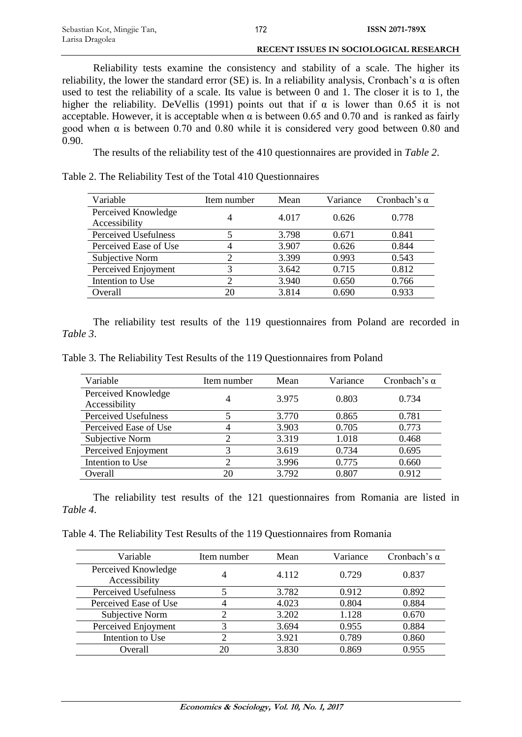Reliability tests examine the consistency and stability of a scale. The higher its reliability, the lower the standard error (SE) is. In a reliability analysis, Cronbach's  $\alpha$  is often used to test the reliability of a scale. Its value is between 0 and 1. The closer it is to 1, the higher the reliability. DeVellis (1991) points out that if  $\alpha$  is lower than 0.65 it is not acceptable. However, it is acceptable when  $\alpha$  is between 0.65 and 0.70 and is ranked as fairly good when  $\alpha$  is between 0.70 and 0.80 while it is considered very good between 0.80 and 0.90.

The results of the reliability test of the 410 questionnaires are provided in *Table 2*.

Table 2. The Reliability Test of the Total 410 Questionnaires

| Variable                             | Item number | Mean  | Variance | Cronbach's $\alpha$ |
|--------------------------------------|-------------|-------|----------|---------------------|
| Perceived Knowledge<br>Accessibility | 4           | 4.017 | 0.626    | 0.778               |
| Perceived Usefulness                 | 5           | 3.798 | 0.671    | 0.841               |
| Perceived Ease of Use                | 4           | 3.907 | 0.626    | 0.844               |
| Subjective Norm                      | 2           | 3.399 | 0.993    | 0.543               |
| Perceived Enjoyment                  | 3           | 3.642 | 0.715    | 0.812               |
| Intention to Use                     | 2           | 3.940 | 0.650    | 0.766               |
| Overall                              | 20          | 3.814 | 0.690    | 0.933               |

The reliability test results of the 119 questionnaires from Poland are recorded in *Table 3*.

Table 3. The Reliability Test Results of the 119 Questionnaires from Poland

| Variable              | Item number    | Mean  | Variance | Cronbach's $\alpha$ |
|-----------------------|----------------|-------|----------|---------------------|
| Perceived Knowledge   | 4              | 3.975 | 0.803    | 0.734               |
| Accessibility         |                |       |          |                     |
| Perceived Usefulness  | 5              | 3.770 | 0.865    | 0.781               |
| Perceived Ease of Use | 4              | 3.903 | 0.705    | 0.773               |
| Subjective Norm       | ာ              | 3.319 | 1.018    | 0.468               |
| Perceived Enjoyment   | 3              | 3.619 | 0.734    | 0.695               |
| Intention to Use      | $\overline{2}$ | 3.996 | 0.775    | 0.660               |
| Overall               | 20             | 3.792 | 0.807    | 0.912               |

The reliability test results of the 121 questionnaires from Romania are listed in *Table 4*.

Table 4. The Reliability Test Results of the 119 Questionnaires from Romania

| Variable                             | Item number | Mean  | Variance | Cronbach's $\alpha$ |
|--------------------------------------|-------------|-------|----------|---------------------|
| Perceived Knowledge<br>Accessibility |             | 4.112 | 0.729    | 0.837               |
| Perceived Usefulness                 |             | 3.782 | 0.912    | 0.892               |
| Perceived Ease of Use                |             | 4.023 | 0.804    | 0.884               |
| Subjective Norm                      |             | 3.202 | 1.128    | 0.670               |
| Perceived Enjoyment                  | 3           | 3.694 | 0.955    | 0.884               |
| Intention to Use                     | 2           | 3.921 | 0.789    | 0.860               |
| Overall                              | 20          | 3.830 | 0.869    | 0.955               |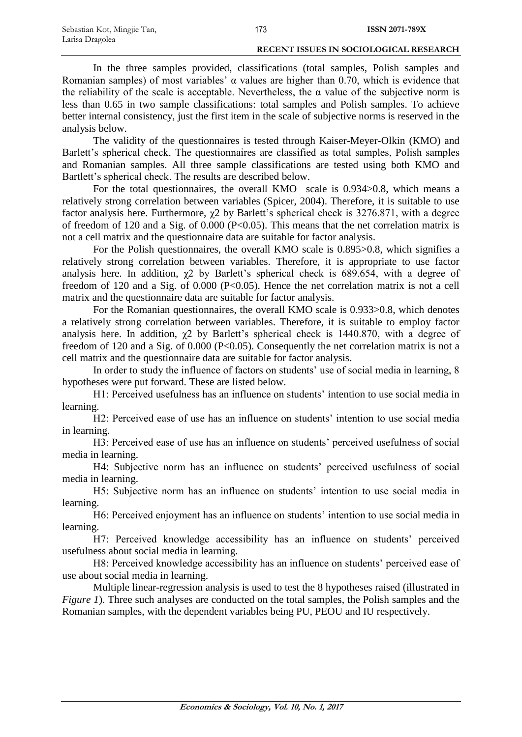In the three samples provided, classifications (total samples, Polish samples and Romanian samples) of most variables'  $\alpha$  values are higher than 0.70, which is evidence that the reliability of the scale is acceptable. Nevertheless, the  $\alpha$  value of the subjective norm is less than 0.65 in two sample classifications: total samples and Polish samples. To achieve better internal consistency, just the first item in the scale of subjective norms is reserved in the analysis below.

The validity of the questionnaires is tested through Kaiser-Meyer-Olkin (KMO) and Barlett's spherical check. The questionnaires are classified as total samples, Polish samples and Romanian samples. All three sample classifications are tested using both KMO and Bartlett's spherical check. The results are described below.

For the total questionnaires, the overall KMO scale is 0.934>0.8, which means a relatively strong correlation between variables (Spicer, 2004). Therefore, it is suitable to use factor analysis here. Furthermore,  $\chi$ 2 by Barlett's spherical check is 3276.871, with a degree of freedom of 120 and a Sig. of 0.000 (P<0.05). This means that the net correlation matrix is not a cell matrix and the questionnaire data are suitable for factor analysis.

For the Polish questionnaires, the overall KMO scale is 0.895>0.8, which signifies a relatively strong correlation between variables. Therefore, it is appropriate to use factor analysis here. In addition,  $\chi$ 2 by Barlett's spherical check is 689.654, with a degree of freedom of 120 and a Sig. of 0.000 (P<0.05). Hence the net correlation matrix is not a cell matrix and the questionnaire data are suitable for factor analysis.

For the Romanian questionnaires, the overall KMO scale is 0.933>0.8, which denotes a relatively strong correlation between variables. Therefore, it is suitable to employ factor analysis here. In addition,  $\chi$ 2 by Barlett's spherical check is 1440.870, with a degree of freedom of 120 and a Sig. of 0.000 (P<0.05). Consequently the net correlation matrix is not a cell matrix and the questionnaire data are suitable for factor analysis.

In order to study the influence of factors on students' use of social media in learning, 8 hypotheses were put forward. These are listed below.

H1: Perceived usefulness has an influence on students' intention to use social media in learning.

H2: Perceived ease of use has an influence on students' intention to use social media in learning.

H3: Perceived ease of use has an influence on students' perceived usefulness of social media in learning.

H4: Subjective norm has an influence on students' perceived usefulness of social media in learning.

H5: Subjective norm has an influence on students' intention to use social media in learning.

H6: Perceived enjoyment has an influence on students' intention to use social media in learning.

H7: Perceived knowledge accessibility has an influence on students' perceived usefulness about social media in learning.

H8: Perceived knowledge accessibility has an influence on students' perceived ease of use about social media in learning.

Multiple linear-regression analysis is used to test the 8 hypotheses raised (illustrated in *Figure 1*). Three such analyses are conducted on the total samples, the Polish samples and the Romanian samples, with the dependent variables being PU, PEOU and IU respectively.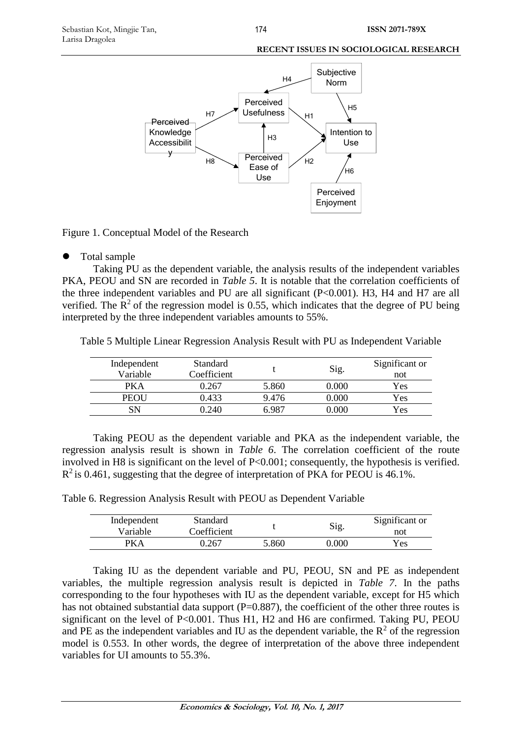

Figure 1. Conceptual Model of the Research

# Total sample

Taking PU as the dependent variable, the analysis results of the independent variables PKA, PEOU and SN are recorded in *Table 5*. It is notable that the correlation coefficients of the three independent variables and PU are all significant (P<0.001). H3, H4 and H7 are all verified. The  $R^2$  of the regression model is 0.55, which indicates that the degree of PU being interpreted by the three independent variables amounts to 55%.

Table 5 Multiple Linear Regression Analysis Result with PU as Independent Variable

| Independent<br>Variable | Standard<br>Coefficient |       | Sig.  | Significant or<br>not |
|-------------------------|-------------------------|-------|-------|-----------------------|
| PKA                     | ) 267                   | 5.860 | 0.000 | Yes                   |
| PEOU                    | 0.433                   | 9.476 | 0.000 | Yes                   |
|                         | ) 240                   | 6 ዓ87 | 000 C | Yes                   |

Taking PEOU as the dependent variable and PKA as the independent variable, the regression analysis result is shown in *Table 6*. The correlation coefficient of the route involved in H8 is significant on the level of P<0.001; consequently, the hypothesis is verified.  $R^2$  is 0.461, suggesting that the degree of interpretation of PKA for PEOU is 46.1%.

Table 6. Regression Analysis Result with PEOU as Dependent Variable

| Independent | Standard    |       | Sig.      | Significant or |
|-------------|-------------|-------|-----------|----------------|
| Variable    | Coefficient |       |           | not            |
| DK A        | 1.267       | 5.860 | $0.000\,$ | Yes            |

Taking IU as the dependent variable and PU, PEOU, SN and PE as independent variables, the multiple regression analysis result is depicted in *Table 7*. In the paths corresponding to the four hypotheses with IU as the dependent variable, except for H5 which has not obtained substantial data support (P=0.887), the coefficient of the other three routes is significant on the level of  $P < 0.001$ . Thus H1, H2 and H6 are confirmed. Taking PU, PEOU and PE as the independent variables and IU as the dependent variable, the  $R^2$  of the regression model is 0.553. In other words, the degree of interpretation of the above three independent variables for UI amounts to 55.3%.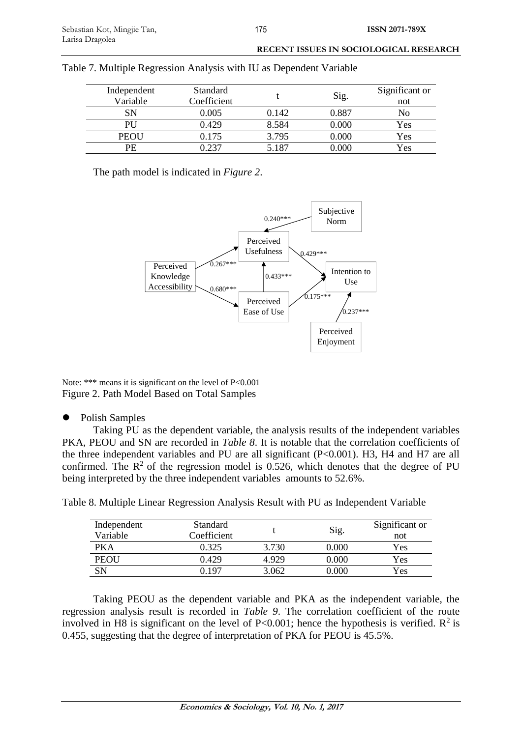| RECENT ISSUES IN SOCIOLOGICAL RESEARCH |
|----------------------------------------|
|                                        |

| Independent<br>Variable | Standard<br>Coefficient |       | Sig.  | Significant or<br>not |
|-------------------------|-------------------------|-------|-------|-----------------------|
| SN                      | 0.005                   | 0.142 | 0.887 | No                    |
| PU                      | 0.429                   | 8.584 | 0.000 | Yes                   |
| PEOU                    | 0.175                   | 3.795 | 0.000 | Yes                   |
| PE                      | 0.237                   | 5.187 | 0.000 | Yes                   |

|  |  |  |  | Table 7. Multiple Regression Analysis with IU as Dependent Variable |
|--|--|--|--|---------------------------------------------------------------------|
|--|--|--|--|---------------------------------------------------------------------|

The path model is indicated in *Figure 2*.



Note: \*\*\* means it is significant on the level of  $P<0.001$ Figure 2. Path Model Based on Total Samples

• Polish Samples

Taking PU as the dependent variable, the analysis results of the independent variables PKA, PEOU and SN are recorded in *Table 8*. It is notable that the correlation coefficients of the three independent variables and PU are all significant (P<0.001). H3, H4 and H7 are all confirmed. The  $R^2$  of the regression model is 0.526, which denotes that the degree of PU being interpreted by the three independent variables amounts to 52.6%.

| Independent<br>Variable | Standard<br>Coefficient |       | Sig.      | Significant or<br>not |
|-------------------------|-------------------------|-------|-----------|-----------------------|
| PKA                     | 0.325                   | 3.730 | 0.000     | Yes                   |
| PEOU                    | 0.429                   | 4.929 | 0.000     | Yes                   |
| SN                      | በ 197                   | 3.062 | $0.000\,$ | Yes                   |

Table 8. Multiple Linear Regression Analysis Result with PU as Independent Variable

Taking PEOU as the dependent variable and PKA as the independent variable, the regression analysis result is recorded in *Table 9*. The correlation coefficient of the route involved in H8 is significant on the level of P<0.001; hence the hypothesis is verified.  $\mathbb{R}^2$  is 0.455, suggesting that the degree of interpretation of PKA for PEOU is 45.5%.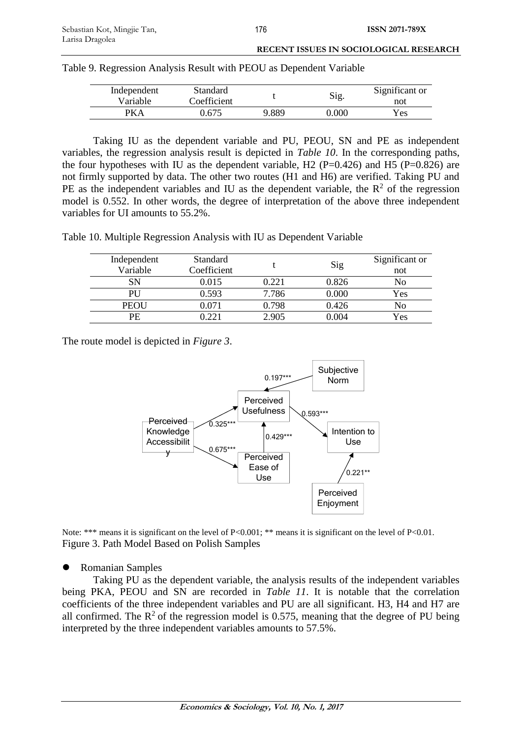| RECENT ISSUES IN SOCIOLOGICAL RESEARCH |
|----------------------------------------|
|                                        |

| Independent<br>Variable | Standard<br>Coefficient |       | Sig.  | Significant or<br>not |
|-------------------------|-------------------------|-------|-------|-----------------------|
|                         | 0.675                   | 9.889 | 0.000 | Yes                   |

Table 9. Regression Analysis Result with PEOU as Dependent Variable

Taking IU as the dependent variable and PU, PEOU, SN and PE as independent variables, the regression analysis result is depicted in *Table 10*. In the corresponding paths, the four hypotheses with IU as the dependent variable, H2 ( $P=0.426$ ) and H5 ( $P=0.826$ ) are not firmly supported by data. The other two routes (H1 and H6) are verified. Taking PU and PE as the independent variables and IU as the dependent variable, the  $\mathbb{R}^2$  of the regression model is 0.552. In other words, the degree of interpretation of the above three independent variables for UI amounts to 55.2%.

Table 10. Multiple Regression Analysis with IU as Dependent Variable

| Independent | Standard    |       | Sig   | Significant or |
|-------------|-------------|-------|-------|----------------|
| Variable    | Coefficient |       |       | not            |
| SN          | 0.015       | 0.221 | 0.826 | No             |
| PU          | 0.593       | 7.786 | 0.000 | Yes            |
| PEOU        | 0.071       | 0.798 | 0.426 | No             |
| PE          |             | 2.905 | 0.004 | Yes            |

The route model is depicted in *Figure 3*.



Note: \*\*\* means it is significant on the level of P<0.001; \*\* means it is significant on the level of P<0.01. Figure 3. Path Model Based on Polish Samples

Romanian Samples

Taking PU as the dependent variable, the analysis results of the independent variables being PKA, PEOU and SN are recorded in *Table 11*. It is notable that the correlation coefficients of the three independent variables and PU are all significant. H3, H4 and H7 are all confirmed. The  $\mathbb{R}^2$  of the regression model is 0.575, meaning that the degree of PU being interpreted by the three independent variables amounts to 57.5%.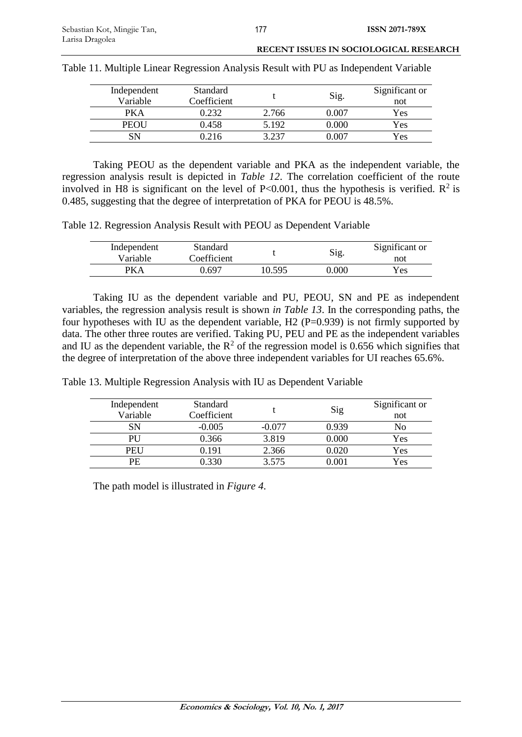|  | Table 11. Multiple Linear Regression Analysis Result with PU as Independent Variable |  |
|--|--------------------------------------------------------------------------------------|--|
|  |                                                                                      |  |

| Independent<br>Variable | Standard<br>Coefficient |       | Sig.      | Significant or<br>not |
|-------------------------|-------------------------|-------|-----------|-----------------------|
| PKA                     | ).232                   | 2.766 | 0.007     | Yes                   |
| <b>PEOU</b>             | 0.458                   | 5.192 | $0.000\,$ | Yes                   |
| SN                      | ).216                   | 3 237 | ገ በበ7     | Yes                   |

Taking PEOU as the dependent variable and PKA as the independent variable, the regression analysis result is depicted in *Table 12*. The correlation coefficient of the route involved in H8 is significant on the level of P<0.001, thus the hypothesis is verified.  $\mathbb{R}^2$  is 0.485, suggesting that the degree of interpretation of PKA for PEOU is 48.5%.

Table 12. Regression Analysis Result with PEOU as Dependent Variable

| Independent<br>Variable | <b>Standard</b><br>Coefficient |        | Sig.  | Significant or<br>not |
|-------------------------|--------------------------------|--------|-------|-----------------------|
| RPA                     | .,697                          | 10.595 | 0.000 | Yes                   |

Taking IU as the dependent variable and PU, PEOU, SN and PE as independent variables, the regression analysis result is shown *in Table 13*. In the corresponding paths, the four hypotheses with IU as the dependent variable, H2 (P=0.939) is not firmly supported by data. The other three routes are verified. Taking PU, PEU and PE as the independent variables and IU as the dependent variable, the  $R^2$  of the regression model is 0.656 which signifies that the degree of interpretation of the above three independent variables for UI reaches 65.6%.

|  | Table 13. Multiple Regression Analysis with IU as Dependent Variable |  |  |  |
|--|----------------------------------------------------------------------|--|--|--|
|  |                                                                      |  |  |  |

| Independent | Standard    |          | Sig   | Significant or |
|-------------|-------------|----------|-------|----------------|
| Variable    | Coefficient |          |       | not            |
| SΝ          | $-0.005$    | $-0.077$ | 0.939 | No             |
| PU          | 0.366       | 3.819    | 0.000 | Yes            |
| PEU         | 0.191       | 2.366    | 0.020 | Yes            |
| PE          | 0.330       | 3.575    | 0.001 | Yes            |

The path model is illustrated in *Figure 4*.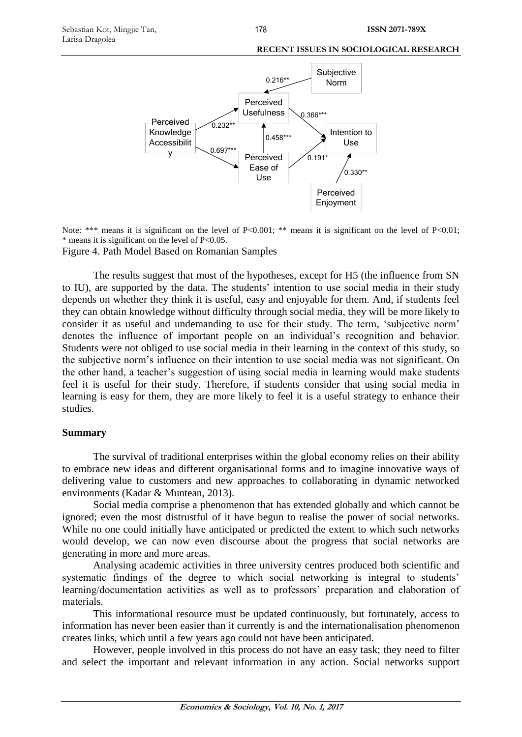

Note: \*\*\* means it is significant on the level of P<0.001; \*\* means it is significant on the level of P<0.01;  $*$  means it is significant on the level of P<0.05.

Figure 4. Path Model Based on Romanian Samples

The results suggest that most of the hypotheses, except for H5 (the influence from SN to IU), are supported by the data. The students' intention to use social media in their study depends on whether they think it is useful, easy and enjoyable for them. And, if students feel they can obtain knowledge without difficulty through social media, they will be more likely to consider it as useful and undemanding to use for their study. The term, 'subjective norm' denotes the influence of important people on an individual's recognition and behavior. Students were not obliged to use social media in their learning in the context of this study, so the subjective norm's influence on their intention to use social media was not significant. On the other hand, a teacher's suggestion of using social media in learning would make students feel it is useful for their study. Therefore, if students consider that using social media in learning is easy for them, they are more likely to feel it is a useful strategy to enhance their studies.

# **Summary**

The survival of traditional enterprises within the global economy relies on their ability to embrace new ideas and different organisational forms and to imagine innovative ways of delivering value to customers and new approaches to collaborating in dynamic networked environments (Kadar & Muntean, 2013).

Social media comprise a phenomenon that has extended globally and which cannot be ignored; even the most distrustful of it have begun to realise the power of social networks. While no one could initially have anticipated or predicted the extent to which such networks would develop, we can now even discourse about the progress that social networks are generating in more and more areas.

Analysing academic activities in three university centres produced both scientific and systematic findings of the degree to which social networking is integral to students' learning/documentation activities as well as to professors' preparation and elaboration of materials.

This informational resource must be updated continuously, but fortunately, access to information has never been easier than it currently is and the internationalisation phenomenon creates links, which until a few years ago could not have been anticipated.

However, people involved in this process do not have an easy task; they need to filter and select the important and relevant information in any action. Social networks support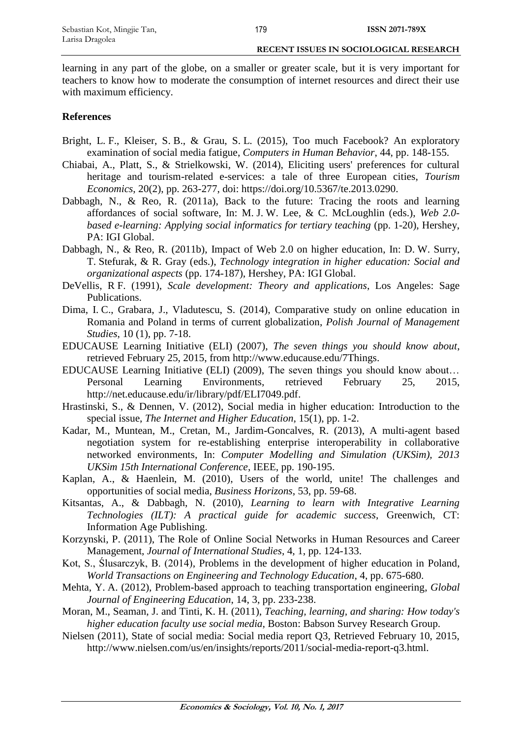learning in any part of the globe, on a smaller or greater scale, but it is very important for teachers to know how to moderate the consumption of internet resources and direct their use with maximum efficiency.

## **References**

- Bright, L. F., Kleiser, S. B., & Grau, S. L. (2015), Too much Facebook? An exploratory examination of social media fatigue, *Computers in Human Behavior*, 44, pp. 148-155.
- Chiabai, A., Platt, S., & Strielkowski, W. (2014), Eliciting users' preferences for cultural heritage and tourism-related e-services: a tale of three European cities, *Tourism Economics*, 20(2), pp. 263-277, doi: https://doi.org/10.5367/te.2013.0290.
- Dabbagh, N., & Reo, R. (2011a), Back to the future: Tracing the roots and learning affordances of social software, In: M. J. W. Lee, & C. McLoughlin (eds.), *Web 2.0 based e-learning: Applying social informatics for tertiary teaching* (pp. 1-20), Hershey, PA: IGI Global.
- Dabbagh, N., & Reo, R. (2011b), Impact of Web 2.0 on higher education, In: D. W. Surry, T. Stefurak, & R. Gray (eds.), *Technology integration in higher education: Social and organizational aspects* (pp. 174-187), Hershey, PA: IGI Global.
- DeVellis, R F. (1991), *Scale development: Theory and applications*, Los Angeles: Sage Publications.
- Dima, I. C., Grabara, J., Vladutescu, S. (2014), Comparative study on online education in Romania and Poland in terms of current globalization, *Polish Journal of Management Studies*, 10 (1), pp. 7-18.
- EDUCAUSE Learning Initiative (ELI) (2007), *The seven things you should know about*, retrieved February 25, 2015, from [http://www.educause.edu/7Things.](http://www.educause.edu/7Things)
- EDUCAUSE Learning Initiative (ELI) (2009), The seven things you should know about… Personal Learning Environments, retrieved February 25, 2015, http://net.educause.edu/ir/library/pdf/ELI7049.pdf.
- Hrastinski, S., & Dennen, V. (2012), Social media in higher education: Introduction to the special issue, *The Internet and Higher Education*, 15(1), pp. 1-2.
- Kadar, M., Muntean, M., Cretan, M., Jardim-Goncalves, R. (2013), A multi-agent based negotiation system for re-establishing enterprise interoperability in collaborative networked environments, In: *Computer Modelling and Simulation (UKSim), 2013 UKSim 15th International Conference*, IEEE, pp. 190-195.
- Kaplan, A., & Haenlein, M. (2010), Users of the world, unite! The challenges and opportunities of social media, *Business Horizons*, 53, pp. 59-68.
- Kitsantas, A., & Dabbagh, N. (2010), *Learning to learn with Integrative Learning Technologies (ILT): A practical guide for academic success*, Greenwich, CT: Information Age Publishing.
- Korzynski, P. (2011), The Role of Online Social Networks in Human Resources and Career Management, *Journal of International Studies*, 4, 1, pp. 124-133.
- Kot, S., Ślusarczyk, B. (2014), Problems in the development of higher education in Poland, *World Transactions on Engineering and Technology Education*, 4, pp. 675-680.
- Mehta, Y. A. (2012), Problem-based approach to teaching transportation engineering, *Global Journal of Engineering Education*, 14, 3, pp. 233-238.
- Moran, M., Seaman, J. and Tinti, K. H. (2011), *Teaching, learning, and sharing: How today's higher education faculty use social media*, Boston: Babson Survey Research Group.
- Nielsen (2011), State of social media: Social media report Q3, Retrieved February 10, 2015, http://www.nielsen.com/us/en/insights/reports/2011/social-media-report-q3.html.